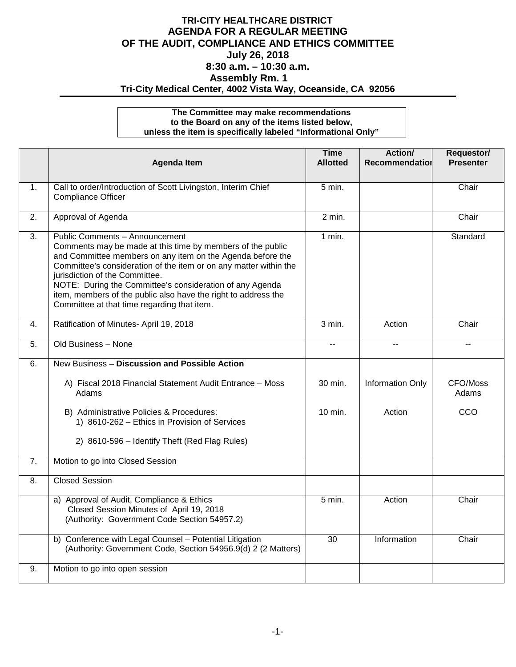## **TRI-CITY HEALTHCARE DISTRICT AGENDA FOR A REGULAR MEETING OF THE AUDIT, COMPLIANCE AND ETHICS COMMITTEE July 26, 2018 8:30 a.m. – 10:30 a.m. Assembly Rm. 1 Tri-City Medical Center, 4002 Vista Way, Oceanside, CA 92056**

## **The Committee may make recommendations to the Board on any of the items listed below, unless the item is specifically labeled "Informational Only"**

|                  | <b>Agenda Item</b>                                                                                                                                                                                                                                                                                                                                                                                                                             | <b>Time</b><br><b>Allotted</b> | Action/<br>Recommendation | Requestor/<br><b>Presenter</b> |
|------------------|------------------------------------------------------------------------------------------------------------------------------------------------------------------------------------------------------------------------------------------------------------------------------------------------------------------------------------------------------------------------------------------------------------------------------------------------|--------------------------------|---------------------------|--------------------------------|
| 1.               | Call to order/Introduction of Scott Livingston, Interim Chief<br><b>Compliance Officer</b>                                                                                                                                                                                                                                                                                                                                                     | 5 min.                         |                           | Chair                          |
| $\overline{2}$ . | Approval of Agenda                                                                                                                                                                                                                                                                                                                                                                                                                             | $2 \text{ min.}$               |                           | Chair                          |
| 3.               | Public Comments - Announcement<br>Comments may be made at this time by members of the public<br>and Committee members on any item on the Agenda before the<br>Committee's consideration of the item or on any matter within the<br>jurisdiction of the Committee.<br>NOTE: During the Committee's consideration of any Agenda<br>item, members of the public also have the right to address the<br>Committee at that time regarding that item. | $1$ min.                       |                           | Standard                       |
| 4.               | Ratification of Minutes- April 19, 2018                                                                                                                                                                                                                                                                                                                                                                                                        | $3$ min.                       | Action                    | Chair                          |
| 5.               | Old Business - None                                                                                                                                                                                                                                                                                                                                                                                                                            | --                             |                           |                                |
| 6.               | New Business - Discussion and Possible Action                                                                                                                                                                                                                                                                                                                                                                                                  |                                |                           |                                |
|                  | A) Fiscal 2018 Financial Statement Audit Entrance - Moss<br>Adams                                                                                                                                                                                                                                                                                                                                                                              | 30 min.                        | <b>Information Only</b>   | CFO/Moss<br>Adams              |
|                  | B) Administrative Policies & Procedures:<br>1) 8610-262 - Ethics in Provision of Services                                                                                                                                                                                                                                                                                                                                                      | $10 \text{ min.}$              | Action                    | CCO                            |
|                  | 2) 8610-596 - Identify Theft (Red Flag Rules)                                                                                                                                                                                                                                                                                                                                                                                                  |                                |                           |                                |
| $\overline{7}$ . | Motion to go into Closed Session                                                                                                                                                                                                                                                                                                                                                                                                               |                                |                           |                                |
| 8.               | <b>Closed Session</b>                                                                                                                                                                                                                                                                                                                                                                                                                          |                                |                           |                                |
|                  | a) Approval of Audit, Compliance & Ethics<br>Closed Session Minutes of April 19, 2018<br>(Authority: Government Code Section 54957.2)                                                                                                                                                                                                                                                                                                          | 5 min.                         | Action                    | Chair                          |
|                  | b) Conference with Legal Counsel - Potential Litigation<br>(Authority: Government Code, Section 54956.9(d) 2 (2 Matters)                                                                                                                                                                                                                                                                                                                       | $\overline{30}$                | Information               | Chair                          |
| 9.               | Motion to go into open session                                                                                                                                                                                                                                                                                                                                                                                                                 |                                |                           |                                |